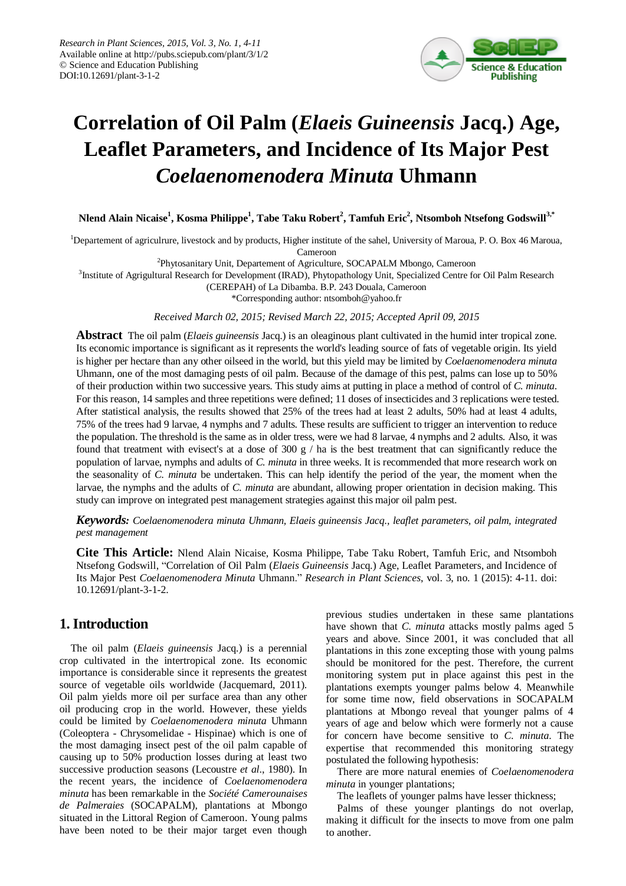

# **Correlation of Oil Palm (***Elaeis Guineensis* **Jacq.) Age, Leaflet Parameters, and Incidence of Its Major Pest**  *Coelaenomenodera Minuta* **Uhmann**

**Nlend Alain Nicaise<sup>1</sup> , Kosma Philippe<sup>1</sup> , Tabe Taku Robert<sup>2</sup> , Tamfuh Eric<sup>2</sup> , Ntsomboh Ntsefong Godswill3,\***

<sup>1</sup>Departement of agriculrure, livestock and by products, Higher institute of the sahel, University of Maroua, P. O. Box 46 Maroua, Cameroon

<sup>2</sup>Phytosanitary Unit, Departement of Agriculture, SOCAPALM Mbongo, Cameroon

<sup>3</sup>Institute of Agrigultural Research for Development (IRAD), Phytopathology Unit, Specialized Centre for Oil Palm Research

(CEREPAH) of La Dibamba. B.P. 243 Douala, Cameroon

\*Corresponding author: ntsomboh@yahoo.fr

*Received March 02, 2015; Revised March 22, 2015; Accepted April 09, 2015*

**Abstract** The oil palm (*Elaeis guineensis* Jacq.) is an oleaginous plant cultivated in the humid inter tropical zone. Its economic importance is significant as it represents the world's leading source of fats of vegetable origin. Its yield is higher per hectare than any other oilseed in the world, but this yield may be limited by *Coelaenomenodera minuta* Uhmann, one of the most damaging pests of oil palm. Because of the damage of this pest, palms can lose up to 50% of their production within two successive years. This study aims at putting in place a method of control of *C. minuta*. For this reason, 14 samples and three repetitions were defined; 11 doses of insecticides and 3 replications were tested. After statistical analysis, the results showed that 25% of the trees had at least 2 adults, 50% had at least 4 adults, 75% of the trees had 9 larvae, 4 nymphs and 7 adults. These results are sufficient to trigger an intervention to reduce the population. The threshold is the same as in older tress, were we had 8 larvae, 4 nymphs and 2 adults. Also, it was found that treatment with evisect's at a dose of 300 g  $/$  ha is the best treatment that can significantly reduce the population of larvae, nymphs and adults of *C. minuta* in three weeks. It is recommended that more research work on the seasonality of *C. minuta* be undertaken. This can help identify the period of the year, the moment when the larvae, the nymphs and the adults of *C. minuta* are abundant, allowing proper orientation in decision making. This study can improve on integrated pest management strategies against this major oil palm pest.

*Keywords: Coelaenomenodera minuta Uhmann, Elaeis guineensis Jacq., leaflet parameters, oil palm, integrated pest management*

**Cite This Article:** Nlend Alain Nicaise, Kosma Philippe, Tabe Taku Robert, Tamfuh Eric, and Ntsomboh Ntsefong Godswill, "Correlation of Oil Palm (*Elaeis Guineensis* Jacq.) Age, Leaflet Parameters, and Incidence of Its Major Pest *Coelaenomenodera Minuta* Uhmann." *Research in Plant Sciences*, vol. 3, no. 1 (2015): 4-11. doi: 10.12691/plant-3-1-2.

# **1. Introduction**

The oil palm (*Elaeis guineensis* Jacq.) is a perennial crop cultivated in the intertropical zone. Its economic importance is considerable since it represents the greatest source of vegetable oils worldwide (Jacquemard, 2011). Oil palm yields more oil per surface area than any other oil producing crop in the world. However, these yields could be limited by *Coelaenomenodera minuta* Uhmann (Coleoptera - Chrysomelidae - Hispinae) which is one of the most damaging insect pest of the oil palm capable of causing up to 50% production losses during at least two successive production seasons (Lecoustre *et al*., 1980). In the recent years, the incidence of *Coelaenomenodera minuta* has been remarkable in the *SociétéCamerounaises de Palmeraies* (SOCAPALM), plantations at Mbongo situated in the Littoral Region of Cameroon. Young palms have been noted to be their major target even though

previous studies undertaken in these same plantations have shown that *C. minuta* attacks mostly palms aged 5 years and above. Since 2001, it was concluded that all plantations in this zone excepting those with young palms should be monitored for the pest. Therefore, the current monitoring system put in place against this pest in the plantations exempts younger palms below 4. Meanwhile for some time now, field observations in SOCAPALM plantations at Mbongo reveal that younger palms of 4 years of age and below which were formerly not a cause for concern have become sensitive to *C. minuta*. The expertise that recommended this monitoring strategy postulated the following hypothesis:

There are more natural enemies of *Coelaenomenodera minuta* in younger plantations;

The leaflets of younger palms have lesser thickness;

Palms of these younger plantings do not overlap, making it difficult for the insects to move from one palm to another.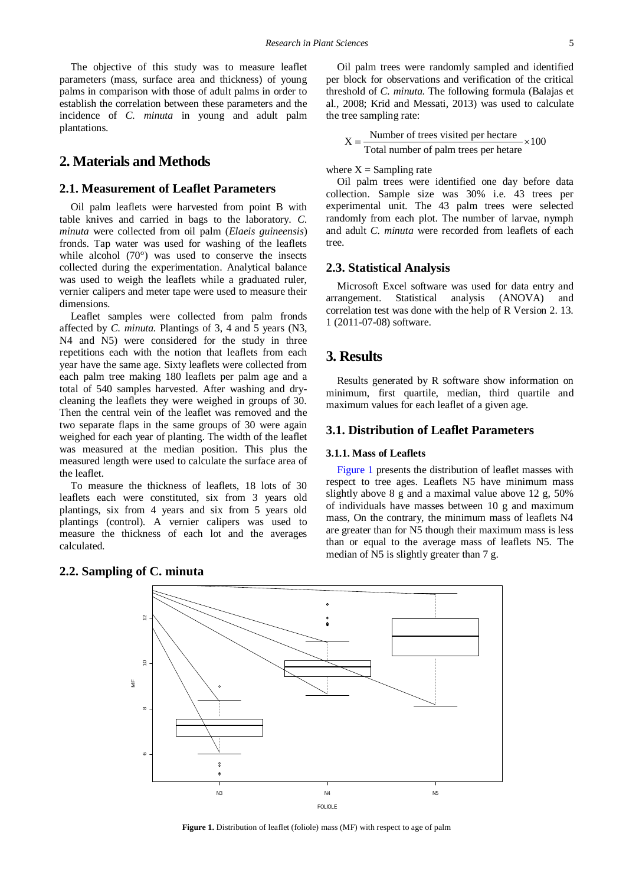The objective of this study was to measure leaflet parameters (mass, surface area and thickness) of young palms in comparison with those of adult palms in order to establish the correlation between these parameters and the incidence of *C. minuta* in young and adult palm plantations.

# **2. Materials and Methods**

## **2.1. Measurement of Leaflet Parameters**

Oil palm leaflets were harvested from point B with table knives and carried in bags to the laboratory. *C. minuta* were collected from oil palm (*Elaeis guineensis*) fronds. Tap water was used for washing of the leaflets while alcohol  $(70^{\circ})$  was used to conserve the insects collected during the experimentation. Analytical balance was used to weigh the leaflets while a graduated ruler, vernier calipers and meter tape were used to measure their dimensions.

Leaflet samples were collected from palm fronds affected by *C. minuta.* Plantings of 3, 4 and 5 years (N3, N4 and N5) were considered for the study in three repetitions each with the notion that leaflets from each year have the same age. Sixty leaflets were collected from each palm tree making 180 leaflets per palm age and a total of 540 samples harvested. After washing and drycleaning the leaflets they were weighed in groups of 30. Then the central vein of the leaflet was removed and the two separate flaps in the same groups of 30 were again weighed for each year of planting. The width of the leaflet was measured at the median position. This plus the measured length were used to calculate the surface area of the leaflet.

To measure the thickness of leaflets, 18 lots of 30 leaflets each were constituted, six from 3 years old plantings, six from 4 years and six from 5 years old plantings (control). A vernier calipers was used to measure the thickness of each lot and the averages calculated.

## <span id="page-1-0"></span>**2.2. Sampling of C. minuta**

Oil palm trees were randomly sampled and identified per block for observations and verification of the critical threshold of *C. minuta.* The following formula (Balajas et al., 2008; Krid and Messati, 2013) was used to calculate the tree sampling rate:

$$
X = \frac{\text{Number of trees visited per hectare}}{\text{Total number of palm trees per hectare}} \times 100
$$

#### where  $X =$  Sampling rate

Oil palm trees were identified one day before data collection. Sample size was 30% i.e. 43 trees per experimental unit. The 43 palm trees were selected randomly from each plot. The number of larvae, nymph and adult *C. minuta* were recorded from leaflets of each tree.

#### **2.3. Statistical Analysis**

Microsoft Excel software was used for data entry and arrangement. Statistical analysis (ANOVA) and correlation test was done with the help of R Version 2. 13. 1 (2011-07-08) software.

# **3. Results**

Results generated by R software show information on minimum, first quartile, median, third quartile and maximum values for each leaflet of a given age.

## **3.1. Distribution of Leaflet Parameters**

#### **3.1.1. Mass of Leaflets**

[Figure 1](#page-1-0) presents the distribution of leaflet masses with respect to tree ages. Leaflets N5 have minimum mass slightly above 8 g and a maximal value above 12 g, 50% of individuals have masses between 10 g and maximum mass, On the contrary, the minimum mass of leaflets N4 are greater than for N5 though their maximum mass is less than or equal to the average mass of leaflets N5. The median of N5 is slightly greater than 7 g.



**Figure 1.** Distribution of leaflet (foliole) mass (MF) with respect to age of palm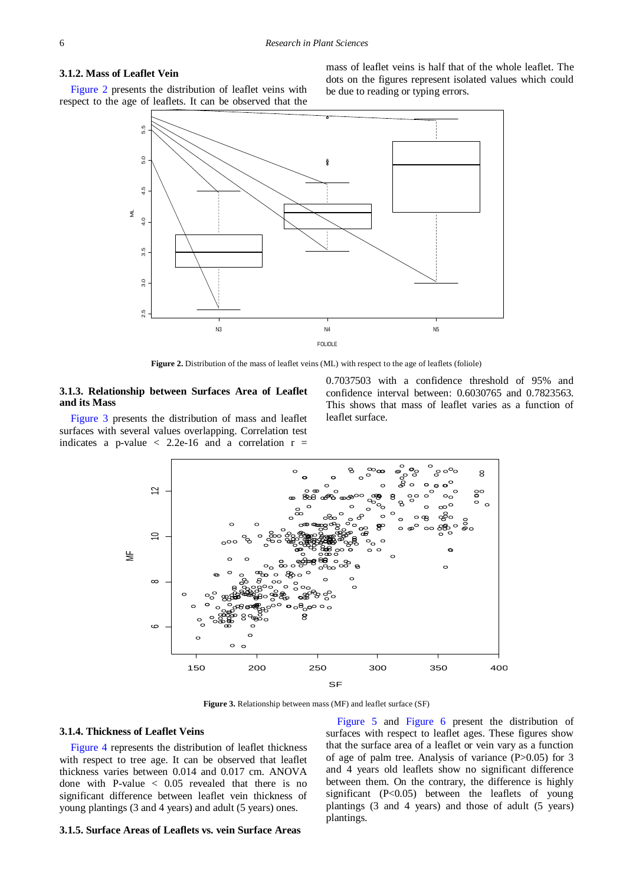#### **3.1.2. Mass of Leaflet Vein**

<span id="page-2-0"></span>[Figure 2](#page-2-0) presents the distribution of leaflet veins with respect to the age of leaflets. It can be observed that the



**Figure 2.** Distribution of the mass of leaflet veins (ML) with respect to the age of leaflets (foliole)

#### **3.1.3. Relationship between Surfaces Area of Leaflet and its Mass**

<span id="page-2-1"></span>[Figure 3](#page-2-1) presents the distribution of mass and leaflet surfaces with several values overlapping. Correlation test indicates a p-value  $\langle$  2.2e-16 and a correlation  $r =$ 

0.7037503 with a confidence threshold of 95% and confidence interval between: 0.6030765 and 0.7823563. This shows that mass of leaflet varies as a function of leaflet surface.



**Figure 3.** Relationship between mass (MF) and leaflet surface (SF)

#### **3.1.4. Thickness of Leaflet Veins**

[Figure 4](#page-3-0) represents the distribution of leaflet thickness with respect to tree age. It can be observed that leaflet thickness varies between 0.014 and 0.017 cm. ANOVA done with P-value  $\langle 0.05 \rangle$  revealed that there is no significant difference between leaflet vein thickness of young plantings (3 and 4 years) and adult (5 years) ones.

**3.1.5. Surface Areas of Leaflets vs. vein Surface Areas** 

[Figure 5](#page-3-1) and [Figure 6](#page-3-2) present the distribution of surfaces with respect to leaflet ages. These figures show that the surface area of a leaflet or vein vary as a function of age of palm tree. Analysis of variance (P>0.05) for 3 and 4 years old leaflets show no significant difference between them. On the contrary, the difference is highly significant  $(P<0.05)$  between the leaflets of young plantings (3 and 4 years) and those of adult (5 years) plantings.

mass of leaflet veins is half that of the whole leaflet. The dots on the figures represent isolated values which could be due to reading or typing errors.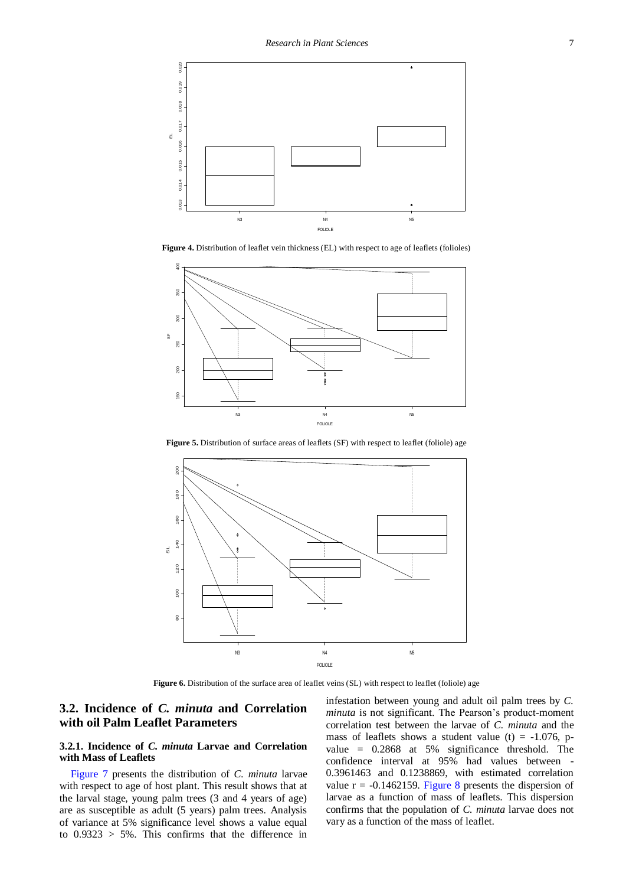<span id="page-3-0"></span>

**Figure 4.** Distribution of leaflet vein thickness (EL) with respect to age of leaflets (folioles)

<span id="page-3-1"></span>

Figure 5. Distribution of surface areas of leaflets (SF) with respect to leaflet (foliole) age

<span id="page-3-2"></span>

Figure 6. Distribution of the surface area of leaflet veins (SL) with respect to leaflet (foliole) age

# **3.2. Incidence of** *C. minuta* **and Correlation with oil Palm Leaflet Parameters**

## **3.2.1. Incidence of** *C. minuta* **Larvae and Correlation with Mass of Leaflets**

[Figure 7](#page-4-0) presents the distribution of *C. minuta* larvae with respect to age of host plant. This result shows that at the larval stage, young palm trees (3 and 4 years of age) are as susceptible as adult (5 years) palm trees. Analysis of variance at 5% significance level shows a value equal to  $0.9323 > 5\%$ . This confirms that the difference in infestation between young and adult oil palm trees by *C. minuta* is not significant. The Pearson's product-moment correlation test between the larvae of *C. minuta* and the mass of leaflets shows a student value (t) =  $-1.076$ , pvalue = 0.2868 at 5% significance threshold. The confidence interval at 95% had values between - 0.3961463 and 0.1238869, with estimated correlation value  $r = -0.1462159$ . [Figure 8](#page-4-1) presents the dispersion of larvae as a function of mass of leaflets. This dispersion confirms that the population of *C. minuta* larvae does not vary as a function of the mass of leaflet.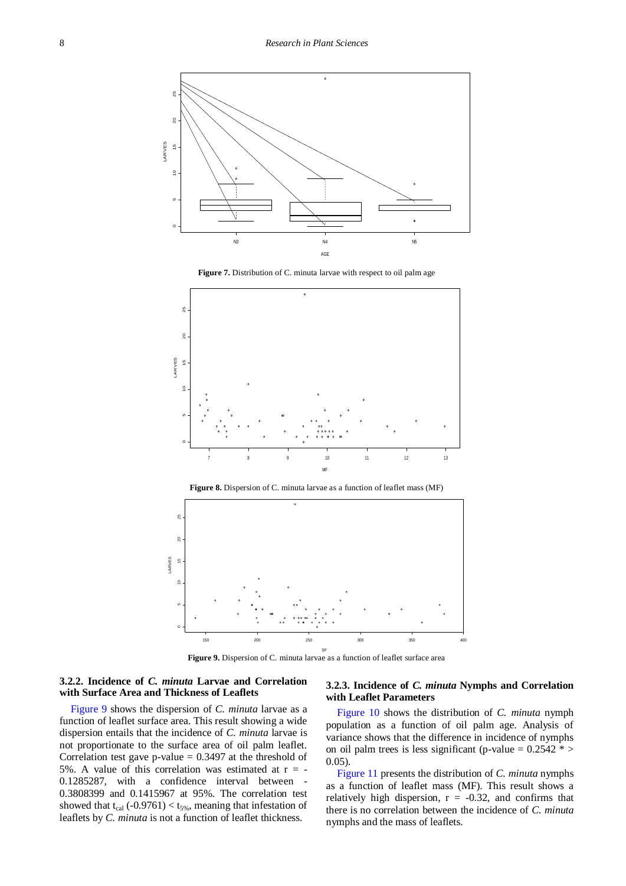<span id="page-4-0"></span>



<span id="page-4-1"></span>



<span id="page-4-2"></span>

**Figure 9.** Dispersion of C. minuta larvae as a function of leaflet surface area

#### **3.2.2. Incidence of** *C. minuta* **Larvae and Correlation with Surface Area and Thickness of Leaflets**

[Figure 9](#page-4-2) shows the dispersion of *C. minuta* larvae as a function of leaflet surface area. This result showing a wide dispersion entails that the incidence of *C. minuta* larvae is not proportionate to the surface area of oil palm leaflet. Correlation test gave p-value  $= 0.3497$  at the threshold of 5%. A value of this correlation was estimated at  $r = -$ 0.1285287, with a confidence interval between - 0.3808399 and 0.1415967 at 95%. The correlation test showed that  $t_{cal}$  (-0.9761) <  $t_{5\%}$ , meaning that infestation of leaflets by *C. minuta* is not a function of leaflet thickness.

### **3.2.3. Incidence of** *C. minuta* **Nymphs and Correlation with Leaflet Parameters**

[Figure 10](#page-5-0) shows the distribution of *C. minuta* nymph population as a function of oil palm age. Analysis of variance shows that the difference in incidence of nymphs on oil palm trees is less significant (p-value =  $0.2542$  \* > 0.05).

[Figure 11](#page-5-1) presents the distribution of *C. minuta* nymphs as a function of leaflet mass (MF). This result shows a relatively high dispersion,  $r = -0.32$ , and confirms that there is no correlation between the incidence of *C. minuta*  nymphs and the mass of leaflets.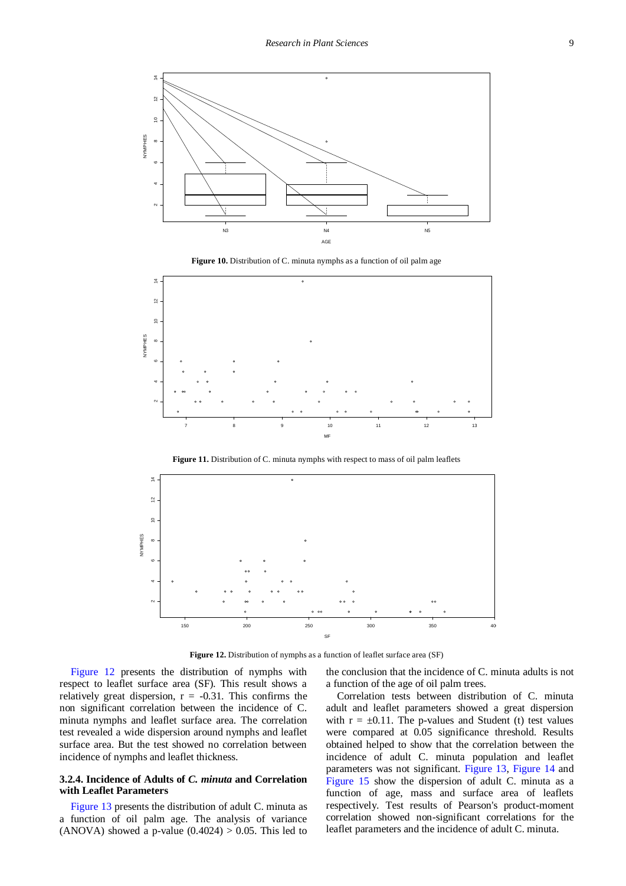<span id="page-5-0"></span>

**Figure 10.** Distribution of C. minuta nymphs as a function of oil palm age

<span id="page-5-1"></span>

**Figure 11.** Distribution of C. minuta nymphs with respect to mass of oil palm leaflets

<span id="page-5-2"></span>

**Figure 12.** Distribution of nymphs as a function of leaflet surface area (SF)

[Figure 12](#page-5-2) presents the distribution of nymphs with respect to leaflet surface area (SF). This result shows a relatively great dispersion,  $r = -0.31$ . This confirms the non significant correlation between the incidence of C. minuta nymphs and leaflet surface area. The correlation test revealed a wide dispersion around nymphs and leaflet surface area. But the test showed no correlation between incidence of nymphs and leaflet thickness.

#### **3.2.4. Incidence of Adults of** *C. minuta* **and Correlation with Leaflet Parameters**

[Figure 13](#page-6-0) presents the distribution of adult C. minuta as a function of oil palm age. The analysis of variance (ANOVA) showed a p-value  $(0.4024) > 0.05$ . This led to

the conclusion that the incidence of C. minuta adults is not a function of the age of oil palm trees.

Correlation tests between distribution of C. minuta adult and leaflet parameters showed a great dispersion with  $r = \pm 0.11$ . The p-values and Student (t) test values were compared at 0.05 significance threshold. Results obtained helped to show that the correlation between the incidence of adult C. minuta population and leaflet parameters was not significant. [Figure 13,](#page-6-0) [Figure 14](#page-6-1) and [Figure 15](#page-6-2) show the dispersion of adult C. minuta as a function of age, mass and surface area of leaflets respectively. Test results of Pearson's product-moment correlation showed non-significant correlations for the leaflet parameters and the incidence of adult C. minuta.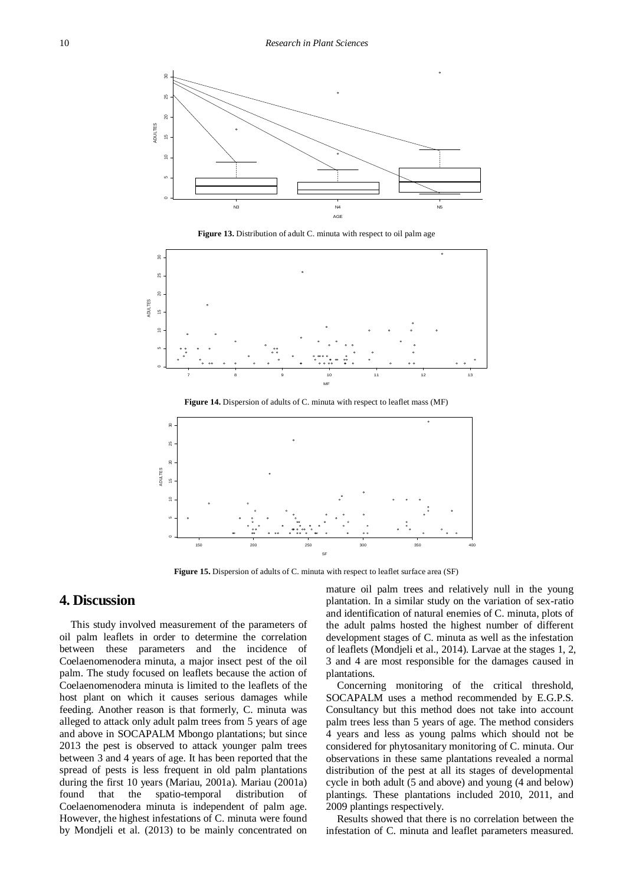<span id="page-6-0"></span>



<span id="page-6-1"></span>

**Figure 14.** Dispersion of adults of C. minuta with respect to leaflet mass (MF)

<span id="page-6-2"></span>

**Figure 15.** Dispersion of adults of C. minuta with respect to leaflet surface area (SF)

# **4. Discussion**

This study involved measurement of the parameters of oil palm leaflets in order to determine the correlation between these parameters and the incidence of Coelaenomenodera minuta, a major insect pest of the oil palm. The study focused on leaflets because the action of Coelaenomenodera minuta is limited to the leaflets of the host plant on which it causes serious damages while feeding. Another reason is that formerly, C. minuta was alleged to attack only adult palm trees from 5 years of age and above in SOCAPALM Mbongo plantations; but since 2013 the pest is observed to attack younger palm trees between 3 and 4 years of age. It has been reported that the spread of pests is less frequent in old palm plantations during the first 10 years (Mariau, 2001a). Mariau (2001a) found that the spatio-temporal distribution of Coelaenomenodera minuta is independent of palm age. However, the highest infestations of C. minuta were found by Mondjeli et al. (2013) to be mainly concentrated on

mature oil palm trees and relatively null in the young plantation. In a similar study on the variation of sex-ratio and identification of natural enemies of C. minuta, plots of the adult palms hosted the highest number of different development stages of C. minuta as well as the infestation of leaflets (Mondjeli et al., 2014). Larvae at the stages 1, 2, 3 and 4 are most responsible for the damages caused in plantations.

Concerning monitoring of the critical threshold, SOCAPALM uses a method recommended by E.G.P.S. Consultancy but this method does not take into account palm trees less than 5 years of age. The method considers 4 years and less as young palms which should not be considered for phytosanitary monitoring of C. minuta. Our observations in these same plantations revealed a normal distribution of the pest at all its stages of developmental cycle in both adult (5 and above) and young (4 and below) plantings. These plantations included 2010, 2011, and 2009 plantings respectively.

Results showed that there is no correlation between the infestation of C. minuta and leaflet parameters measured.